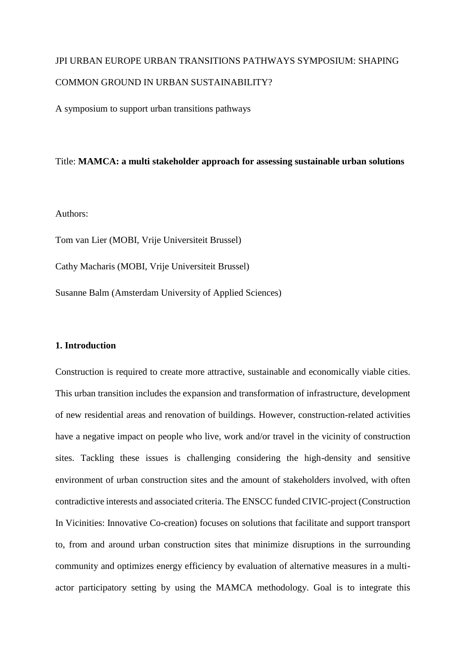## JPI URBAN EUROPE URBAN TRANSITIONS PATHWAYS SYMPOSIUM: SHAPING COMMON GROUND IN URBAN SUSTAINABILITY?

A symposium to support urban transitions pathways

## Title: **MAMCA: a multi stakeholder approach for assessing sustainable urban solutions**

Authors:

Tom van Lier (MOBI, Vrije Universiteit Brussel)

Cathy Macharis (MOBI, Vrije Universiteit Brussel)

Susanne Balm (Amsterdam University of Applied Sciences)

#### **1. Introduction**

Construction is required to create more attractive, sustainable and economically viable cities. This urban transition includes the expansion and transformation of infrastructure, development of new residential areas and renovation of buildings. However, construction-related activities have a negative impact on people who live, work and/or travel in the vicinity of construction sites. Tackling these issues is challenging considering the high-density and sensitive environment of urban construction sites and the amount of stakeholders involved, with often contradictive interests and associated criteria. The ENSCC funded CIVIC-project (Construction In Vicinities: Innovative Co-creation) focuses on solutions that facilitate and support transport to, from and around urban construction sites that minimize disruptions in the surrounding community and optimizes energy efficiency by evaluation of alternative measures in a multiactor participatory setting by using the MAMCA methodology. Goal is to integrate this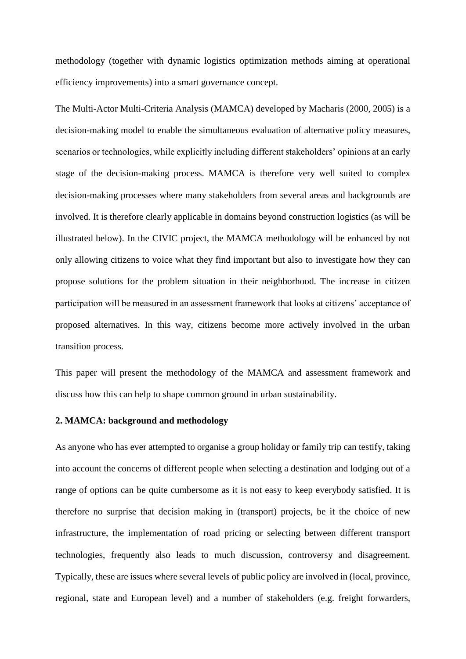methodology (together with dynamic logistics optimization methods aiming at operational efficiency improvements) into a smart governance concept.

The Multi-Actor Multi-Criteria Analysis (MAMCA) developed by Macharis (2000, 2005) is a decision-making model to enable the simultaneous evaluation of alternative policy measures, scenarios or technologies, while explicitly including different stakeholders' opinions at an early stage of the decision-making process. MAMCA is therefore very well suited to complex decision-making processes where many stakeholders from several areas and backgrounds are involved. It is therefore clearly applicable in domains beyond construction logistics (as will be illustrated below). In the CIVIC project, the MAMCA methodology will be enhanced by not only allowing citizens to voice what they find important but also to investigate how they can propose solutions for the problem situation in their neighborhood. The increase in citizen participation will be measured in an assessment framework that looks at citizens' acceptance of proposed alternatives. In this way, citizens become more actively involved in the urban transition process.

This paper will present the methodology of the MAMCA and assessment framework and discuss how this can help to shape common ground in urban sustainability.

#### **2. MAMCA: background and methodology**

As anyone who has ever attempted to organise a group holiday or family trip can testify, taking into account the concerns of different people when selecting a destination and lodging out of a range of options can be quite cumbersome as it is not easy to keep everybody satisfied. It is therefore no surprise that decision making in (transport) projects, be it the choice of new infrastructure, the implementation of road pricing or selecting between different transport technologies, frequently also leads to much discussion, controversy and disagreement. Typically, these are issues where several levels of public policy are involved in (local, province, regional, state and European level) and a number of stakeholders (e.g. freight forwarders,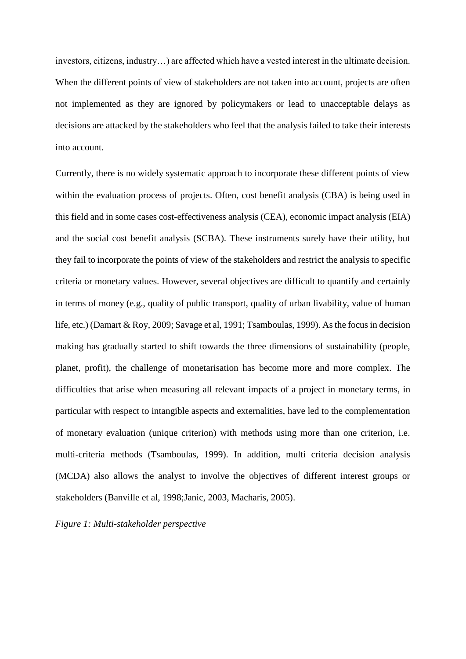investors, citizens, industry…) are affected which have a vested interest in the ultimate decision. When the different points of view of stakeholders are not taken into account, projects are often not implemented as they are ignored by policymakers or lead to unacceptable delays as decisions are attacked by the stakeholders who feel that the analysis failed to take their interests into account.

Currently, there is no widely systematic approach to incorporate these different points of view within the evaluation process of projects. Often, cost benefit analysis (CBA) is being used in this field and in some cases cost-effectiveness analysis (CEA), economic impact analysis (EIA) and the social cost benefit analysis (SCBA). These instruments surely have their utility, but they fail to incorporate the points of view of the stakeholders and restrict the analysis to specific criteria or monetary values. However, several objectives are difficult to quantify and certainly in terms of money (e.g., quality of public transport, quality of urban livability, value of human life, etc.) (Damart & Roy, 2009; Savage et al, 1991; Tsamboulas, 1999). As the focus in decision making has gradually started to shift towards the three dimensions of sustainability (people, planet, profit), the challenge of monetarisation has become more and more complex. The difficulties that arise when measuring all relevant impacts of a project in monetary terms, in particular with respect to intangible aspects and externalities, have led to the complementation of monetary evaluation (unique criterion) with methods using more than one criterion, i.e. multi-criteria methods (Tsamboulas, 1999). In addition, multi criteria decision analysis (MCDA) also allows the analyst to involve the objectives of different interest groups or stakeholders (Banville et al, 1998;Janic, 2003, Macharis, 2005).

#### *Figure 1: Multi-stakeholder perspective*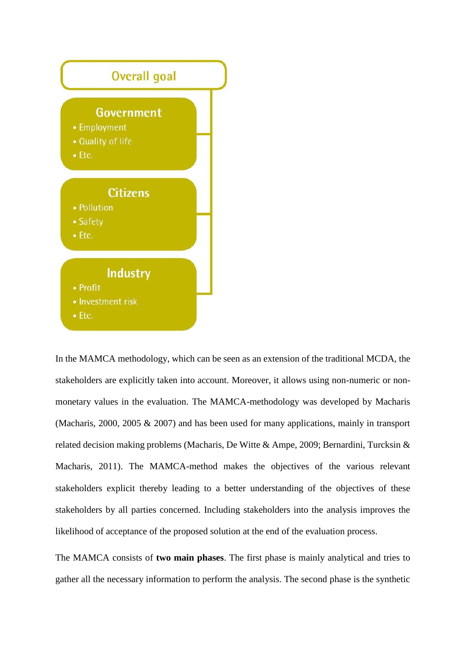

In the MAMCA methodology, which can be seen as an extension of the traditional MCDA, the stakeholders are explicitly taken into account. Moreover, it allows using non-numeric or nonmonetary values in the evaluation. The MAMCA-methodology was developed by Macharis (Macharis, 2000, 2005 & 2007) and has been used for many applications, mainly in transport related decision making problems (Macharis, De Witte & Ampe, 2009; Bernardini, Turcksin & Macharis, 2011). The MAMCA-method makes the objectives of the various relevant stakeholders explicit thereby leading to a better understanding of the objectives of these stakeholders by all parties concerned. Including stakeholders into the analysis improves the likelihood of acceptance of the proposed solution at the end of the evaluation process.

The MAMCA consists of **two main phases**. The first phase is mainly analytical and tries to gather all the necessary information to perform the analysis. The second phase is the synthetic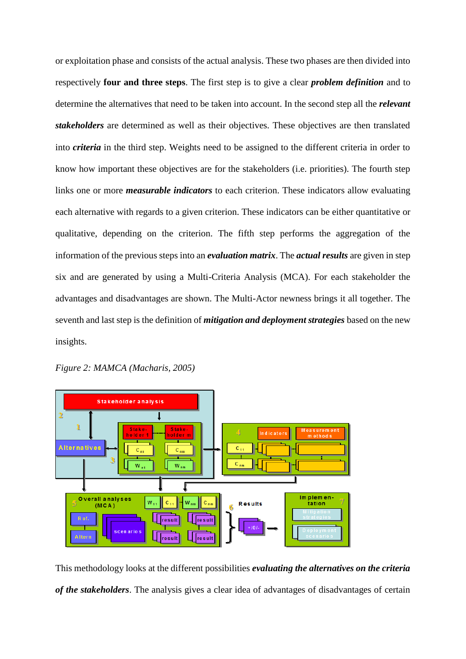or exploitation phase and consists of the actual analysis. These two phases are then divided into respectively **four and three steps**. The first step is to give a clear *problem definition* and to determine the alternatives that need to be taken into account. In the second step all the *relevant stakeholders* are determined as well as their objectives. These objectives are then translated into *criteria* in the third step. Weights need to be assigned to the different criteria in order to know how important these objectives are for the stakeholders (i.e. priorities). The fourth step links one or more *measurable indicators* to each criterion. These indicators allow evaluating each alternative with regards to a given criterion. These indicators can be either quantitative or qualitative, depending on the criterion. The fifth step performs the aggregation of the information of the previous steps into an *evaluation matrix*. The *actual results* are given in step six and are generated by using a Multi-Criteria Analysis (MCA). For each stakeholder the advantages and disadvantages are shown. The Multi-Actor newness brings it all together. The seventh and last step is the definition of *mitigation and deployment strategies* based on the new insights.





This methodology looks at the different possibilities *evaluating the alternatives on the criteria of the stakeholders*. The analysis gives a clear idea of advantages of disadvantages of certain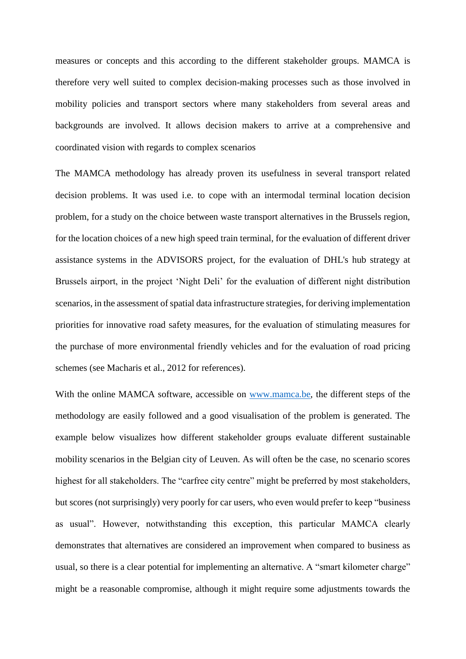measures or concepts and this according to the different stakeholder groups. MAMCA is therefore very well suited to complex decision-making processes such as those involved in mobility policies and transport sectors where many stakeholders from several areas and backgrounds are involved. It allows decision makers to arrive at a comprehensive and coordinated vision with regards to complex scenarios

The MAMCA methodology has already proven its usefulness in several transport related decision problems. It was used i.e. to cope with an intermodal terminal location decision problem, for a study on the choice between waste transport alternatives in the Brussels region, for the location choices of a new high speed train terminal, for the evaluation of different driver assistance systems in the ADVISORS project, for the evaluation of DHL's hub strategy at Brussels airport, in the project 'Night Deli' for the evaluation of different night distribution scenarios, in the assessment of spatial data infrastructure strategies, for deriving implementation priorities for innovative road safety measures, for the evaluation of stimulating measures for the purchase of more environmental friendly vehicles and for the evaluation of road pricing schemes (see Macharis et al., 2012 for references).

With the online MAMCA software, accessible on [www.mamca.be,](http://www.mamca.be/) the different steps of the methodology are easily followed and a good visualisation of the problem is generated. The example below visualizes how different stakeholder groups evaluate different sustainable mobility scenarios in the Belgian city of Leuven. As will often be the case, no scenario scores highest for all stakeholders. The "carfree city centre" might be preferred by most stakeholders, but scores (not surprisingly) very poorly for car users, who even would prefer to keep "business as usual". However, notwithstanding this exception, this particular MAMCA clearly demonstrates that alternatives are considered an improvement when compared to business as usual, so there is a clear potential for implementing an alternative. A "smart kilometer charge" might be a reasonable compromise, although it might require some adjustments towards the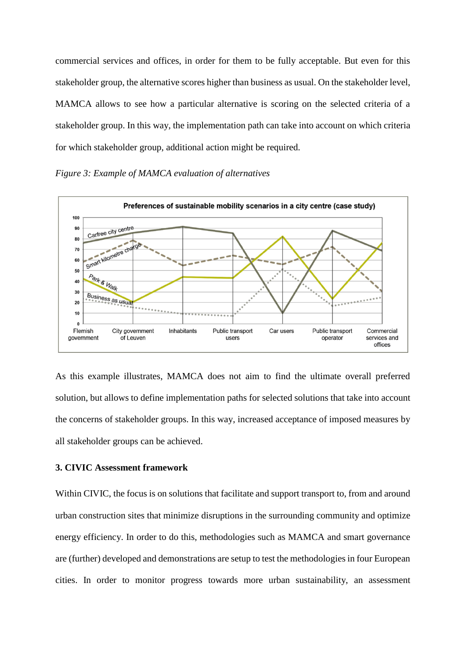commercial services and offices, in order for them to be fully acceptable. But even for this stakeholder group, the alternative scores higher than business as usual. On the stakeholder level, MAMCA allows to see how a particular alternative is scoring on the selected criteria of a stakeholder group. In this way, the implementation path can take into account on which criteria for which stakeholder group, additional action might be required.





As this example illustrates, MAMCA does not aim to find the ultimate overall preferred solution, but allows to define implementation paths for selected solutions that take into account the concerns of stakeholder groups. In this way, increased acceptance of imposed measures by all stakeholder groups can be achieved.

## **3. CIVIC Assessment framework**

Within CIVIC, the focus is on solutions that facilitate and support transport to, from and around urban construction sites that minimize disruptions in the surrounding community and optimize energy efficiency. In order to do this, methodologies such as MAMCA and smart governance are (further) developed and demonstrations are setup to test the methodologies in four European cities. In order to monitor progress towards more urban sustainability, an assessment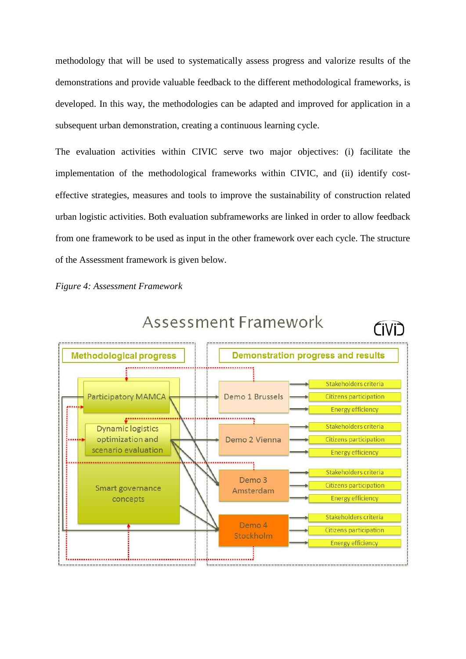methodology that will be used to systematically assess progress and valorize results of the demonstrations and provide valuable feedback to the different methodological frameworks, is developed. In this way, the methodologies can be adapted and improved for application in a subsequent urban demonstration, creating a continuous learning cycle.

The evaluation activities within CIVIC serve two major objectives: (i) facilitate the implementation of the methodological frameworks within CIVIC, and (ii) identify costeffective strategies, measures and tools to improve the sustainability of construction related urban logistic activities. Both evaluation subframeworks are linked in order to allow feedback from one framework to be used as input in the other framework over each cycle. The structure of the Assessment framework is given below.

*Figure 4: Assessment Framework*



# Assessment Framework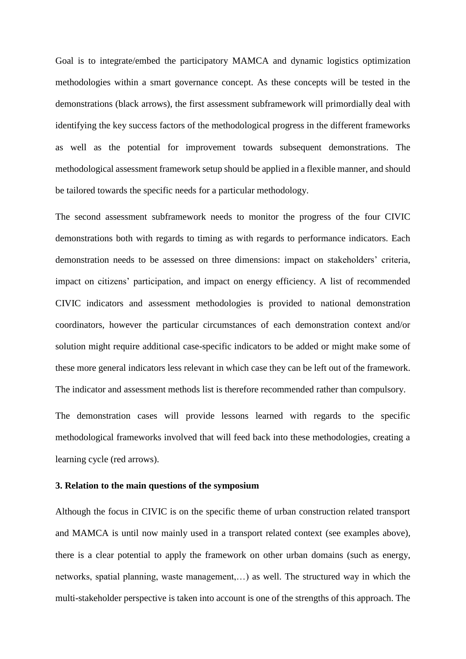Goal is to integrate/embed the participatory MAMCA and dynamic logistics optimization methodologies within a smart governance concept. As these concepts will be tested in the demonstrations (black arrows), the first assessment subframework will primordially deal with identifying the key success factors of the methodological progress in the different frameworks as well as the potential for improvement towards subsequent demonstrations. The methodological assessment framework setup should be applied in a flexible manner, and should be tailored towards the specific needs for a particular methodology.

The second assessment subframework needs to monitor the progress of the four CIVIC demonstrations both with regards to timing as with regards to performance indicators. Each demonstration needs to be assessed on three dimensions: impact on stakeholders' criteria, impact on citizens' participation, and impact on energy efficiency. A list of recommended CIVIC indicators and assessment methodologies is provided to national demonstration coordinators, however the particular circumstances of each demonstration context and/or solution might require additional case-specific indicators to be added or might make some of these more general indicators less relevant in which case they can be left out of the framework. The indicator and assessment methods list is therefore recommended rather than compulsory.

The demonstration cases will provide lessons learned with regards to the specific methodological frameworks involved that will feed back into these methodologies, creating a learning cycle (red arrows).

#### **3. Relation to the main questions of the symposium**

Although the focus in CIVIC is on the specific theme of urban construction related transport and MAMCA is until now mainly used in a transport related context (see examples above), there is a clear potential to apply the framework on other urban domains (such as energy, networks, spatial planning, waste management,…) as well. The structured way in which the multi-stakeholder perspective is taken into account is one of the strengths of this approach. The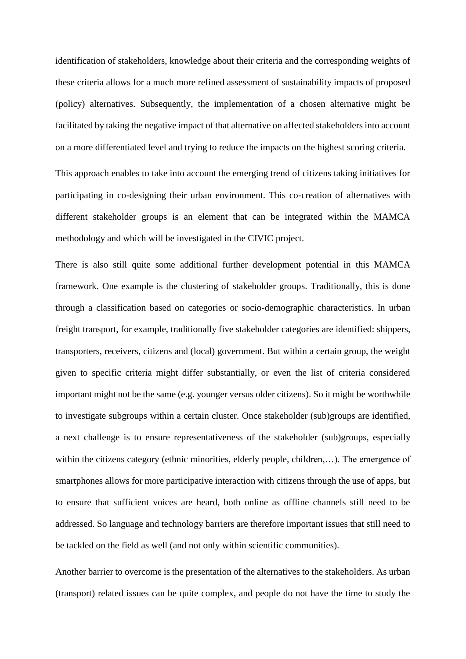identification of stakeholders, knowledge about their criteria and the corresponding weights of these criteria allows for a much more refined assessment of sustainability impacts of proposed (policy) alternatives. Subsequently, the implementation of a chosen alternative might be facilitated by taking the negative impact of that alternative on affected stakeholders into account on a more differentiated level and trying to reduce the impacts on the highest scoring criteria.

This approach enables to take into account the emerging trend of citizens taking initiatives for participating in co-designing their urban environment. This co-creation of alternatives with different stakeholder groups is an element that can be integrated within the MAMCA methodology and which will be investigated in the CIVIC project.

There is also still quite some additional further development potential in this MAMCA framework. One example is the clustering of stakeholder groups. Traditionally, this is done through a classification based on categories or socio-demographic characteristics. In urban freight transport, for example, traditionally five stakeholder categories are identified: shippers, transporters, receivers, citizens and (local) government. But within a certain group, the weight given to specific criteria might differ substantially, or even the list of criteria considered important might not be the same (e.g. younger versus older citizens). So it might be worthwhile to investigate subgroups within a certain cluster. Once stakeholder (sub)groups are identified, a next challenge is to ensure representativeness of the stakeholder (sub)groups, especially within the citizens category (ethnic minorities, elderly people, children,...). The emergence of smartphones allows for more participative interaction with citizens through the use of apps, but to ensure that sufficient voices are heard, both online as offline channels still need to be addressed. So language and technology barriers are therefore important issues that still need to be tackled on the field as well (and not only within scientific communities).

Another barrier to overcome is the presentation of the alternatives to the stakeholders. As urban (transport) related issues can be quite complex, and people do not have the time to study the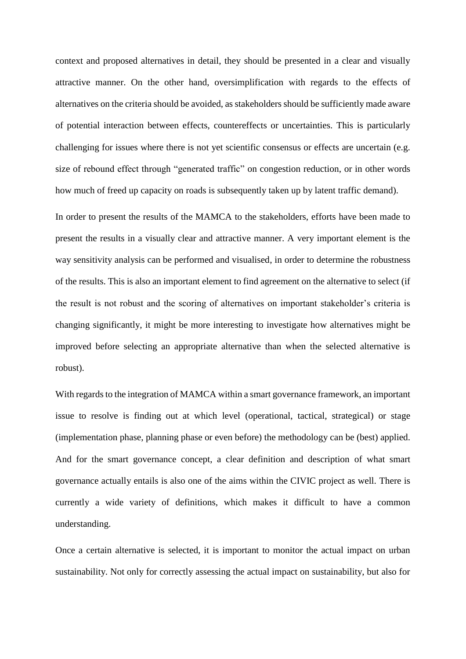context and proposed alternatives in detail, they should be presented in a clear and visually attractive manner. On the other hand, oversimplification with regards to the effects of alternatives on the criteria should be avoided, as stakeholders should be sufficiently made aware of potential interaction between effects, countereffects or uncertainties. This is particularly challenging for issues where there is not yet scientific consensus or effects are uncertain (e.g. size of rebound effect through "generated traffic" on congestion reduction, or in other words how much of freed up capacity on roads is subsequently taken up by latent traffic demand).

In order to present the results of the MAMCA to the stakeholders, efforts have been made to present the results in a visually clear and attractive manner. A very important element is the way sensitivity analysis can be performed and visualised, in order to determine the robustness of the results. This is also an important element to find agreement on the alternative to select (if the result is not robust and the scoring of alternatives on important stakeholder's criteria is changing significantly, it might be more interesting to investigate how alternatives might be improved before selecting an appropriate alternative than when the selected alternative is robust).

With regards to the integration of MAMCA within a smart governance framework, an important issue to resolve is finding out at which level (operational, tactical, strategical) or stage (implementation phase, planning phase or even before) the methodology can be (best) applied. And for the smart governance concept, a clear definition and description of what smart governance actually entails is also one of the aims within the CIVIC project as well. There is currently a wide variety of definitions, which makes it difficult to have a common understanding.

Once a certain alternative is selected, it is important to monitor the actual impact on urban sustainability. Not only for correctly assessing the actual impact on sustainability, but also for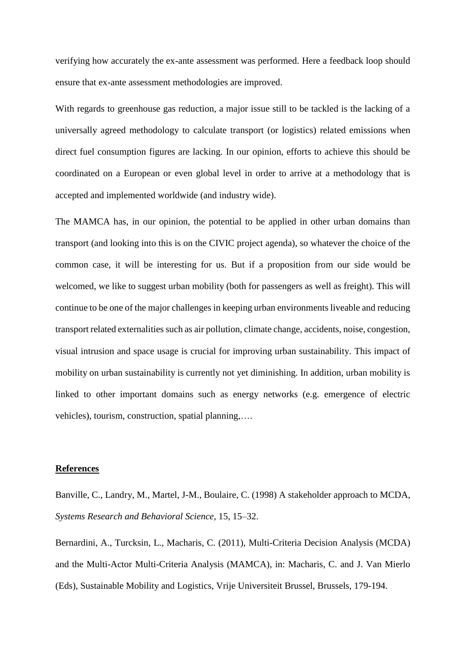verifying how accurately the ex-ante assessment was performed. Here a feedback loop should ensure that ex-ante assessment methodologies are improved.

With regards to greenhouse gas reduction, a major issue still to be tackled is the lacking of a universally agreed methodology to calculate transport (or logistics) related emissions when direct fuel consumption figures are lacking. In our opinion, efforts to achieve this should be coordinated on a European or even global level in order to arrive at a methodology that is accepted and implemented worldwide (and industry wide).

The MAMCA has, in our opinion, the potential to be applied in other urban domains than transport (and looking into this is on the CIVIC project agenda), so whatever the choice of the common case, it will be interesting for us. But if a proposition from our side would be welcomed, we like to suggest urban mobility (both for passengers as well as freight). This will continue to be one of the major challenges in keeping urban environments liveable and reducing transport related externalities such as air pollution, climate change, accidents, noise, congestion, visual intrusion and space usage is crucial for improving urban sustainability. This impact of mobility on urban sustainability is currently not yet diminishing. In addition, urban mobility is linked to other important domains such as energy networks (e.g. emergence of electric vehicles), tourism, construction, spatial planning,….

## **References**

Banville, C., Landry, M., Martel, J-M., Boulaire, C. (1998) A stakeholder approach to MCDA, *Systems Research and Behavioral Science,* 15, 15–32.

Bernardini, A., Turcksin, L., Macharis, C. (2011), Multi-Criteria Decision Analysis (MCDA) and the Multi-Actor Multi-Criteria Analysis (MAMCA), in: Macharis, C. and J. Van Mierlo (Eds), Sustainable Mobility and Logistics, Vrije Universiteit Brussel, Brussels, 179-194.